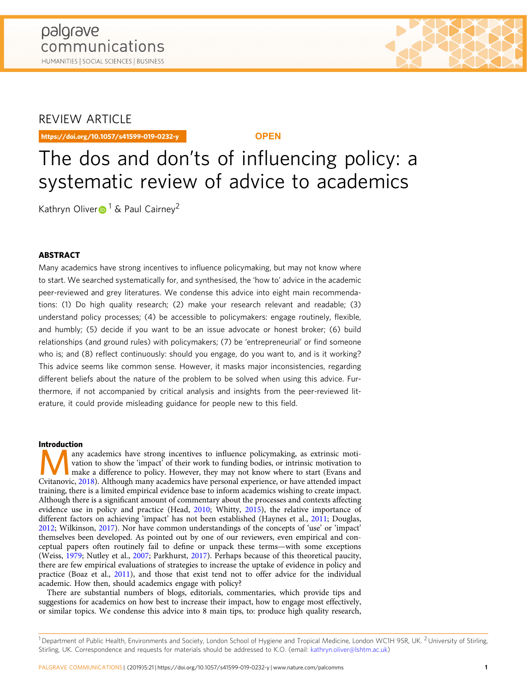# REVIEW ARTICLE

https://doi.org/10.1057/s41599-019-0232-y **OPEN**

# The dos and don'ts of influencing policy: a systematic review of advice to academics

Kath[r](http://orcid.org/0000-0002-4326-5258)yn Oliver $\blacksquare$ <sup>[1](http://orcid.org/0000-0002-4326-5258)</sup> & Paul Cairney<sup>2</sup>

# ABSTRACT

Many academics have strong incentives to influence policymaking, but may not know where to start. We searched systematically for, and synthesised, the 'how to' advice in the academic peer-reviewed and grey literatures. We condense this advice into eight main recommendations: (1) Do high quality research; (2) make your research relevant and readable; (3) understand policy processes; (4) be accessible to policymakers: engage routinely, flexible, and humbly; (5) decide if you want to be an issue advocate or honest broker; (6) build relationships (and ground rules) with policymakers; (7) be 'entrepreneurial' or find someone who is; and (8) reflect continuously: should you engage, do you want to, and is it working? This advice seems like common sense. However, it masks major inconsistencies, regarding different beliefs about the nature of the problem to be solved when using this advice. Furthermore, if not accompanied by critical analysis and insights from the peer-reviewed literature, it could provide misleading guidance for people new to this field.

### Introduction

Many academics have strong incentives to influence policymaking, as extrinsic moti-<br>vation to show the 'impact' of their work to funding bodies, or intrinsic motivation to<br>the a difference to policy. However, they may not vation to show the 'impact' of their work to funding bodies, or intrinsic motivation to Cvitanovic, [2018\)](#page-8-0). Although many academics have personal experience, or have attended impact training, there is a limited empirical evidence base to inform academics wishing to create impact. Although there is a significant amount of commentary about the processes and contexts affecting evidence use in policy and practice (Head, [2010](#page-8-0); Whitty, [2015](#page-10-0)), the relative importance of different factors on achieving 'impact' has not been established (Haynes et al., [2011;](#page-8-0) Douglas, [2012;](#page-8-0) Wilkinson, [2017\)](#page-10-0). Nor have common understandings of the concepts of 'use' or 'impact' themselves been developed. As pointed out by one of our reviewers, even empirical and conceptual papers often routinely fail to define or unpack these terms—with some exceptions (Weiss, [1979;](#page-10-0) Nutley et al., [2007](#page-9-0); Parkhurst, [2017](#page-9-0)). Perhaps because of this theoretical paucity, there are few empirical evaluations of strategies to increase the uptake of evidence in policy and practice (Boaz et al., [2011](#page-7-0)), and those that exist tend not to offer advice for the individual academic. How then, should academics engage with policy?

There are substantial numbers of blogs, editorials, commentaries, which provide tips and suggestions for academics on how best to increase their impact, how to engage most effectively, or similar topics. We condense this advice into 8 main tips, to: produce high quality research,

<sup>1</sup> Department of Public Health, Environments and Society, London School of Hygiene and Tropical Medicine, London WC1H 9SR, UK. <sup>2</sup> University of Stirling, Stirling, UK. Correspondence and requests for materials should be addressed to K.O. (email: [kathryn.oliver@lshtm.ac.uk\)](mailto:kathryn.oliver@lshtm.ac.uk)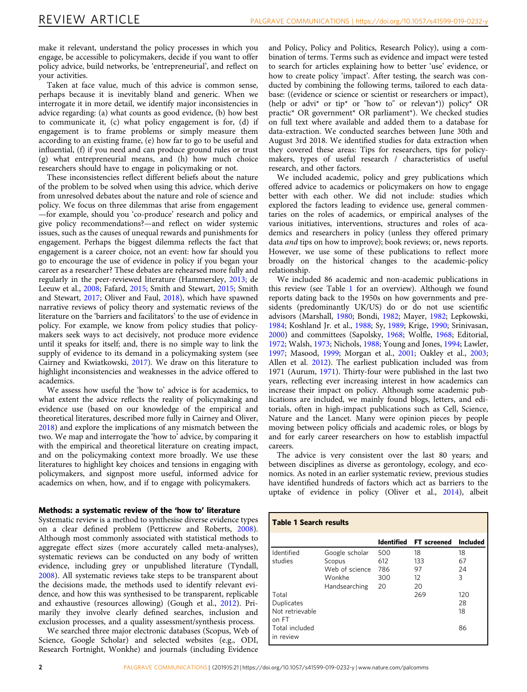make it relevant, understand the policy processes in which you engage, be accessible to policymakers, decide if you want to offer policy advice, build networks, be 'entrepreneurial', and reflect on your activities.

Taken at face value, much of this advice is common sense, perhaps because it is inevitably bland and generic. When we interrogate it in more detail, we identify major inconsistencies in advice regarding: (a) what counts as good evidence, (b) how best to communicate it, (c) what policy engagement is for, (d) if engagement is to frame problems or simply measure them according to an existing frame, (e) how far to go to be useful and influential, (f) if you need and can produce ground rules or trust (g) what entrepreneurial means, and (h) how much choice researchers should have to engage in policymaking or not.

These inconsistencies reflect different beliefs about the nature of the problem to be solved when using this advice, which derive from unresolved debates about the nature and role of science and policy. We focus on three dilemmas that arise from engagement —for example, should you 'co-produce' research and policy and give policy recommendations?—and reflect on wider systemic issues, such as the causes of unequal rewards and punishments for engagement. Perhaps the biggest dilemma reflects the fact that engagement is a career choice, not an event: how far should you go to encourage the use of evidence in policy if you began your career as a researcher? These debates are rehearsed more fully and regularly in the peer-reviewed literature (Hammersley, [2013](#page-8-0); de Leeuw et al., [2008](#page-9-0); Fafard, [2015](#page-8-0); Smith and Stewart, [2015](#page-9-0); Smith and Stewart, [2017;](#page-9-0) Oliver and Faul, [2018\)](#page-9-0), which have spawned narrative reviews of policy theory and systematic reviews of the literature on the 'barriers and facilitators' to the use of evidence in policy. For example, we know from policy studies that policymakers seek ways to act decisively, not produce more evidence until it speaks for itself; and, there is no simple way to link the supply of evidence to its demand in a policymaking system (see Cairney and Kwiatkowski, [2017\)](#page-7-0). We draw on this literature to highlight inconsistencies and weaknesses in the advice offered to academics.

We assess how useful the 'how to' advice is for academics, to what extent the advice reflects the reality of policymaking and evidence use (based on our knowledge of the empirical and theoretical literatures, described more fully in Cairney and Oliver, [2018\)](#page-7-0) and explore the implications of any mismatch between the two. We map and interrogate the 'how to' advice, by comparing it with the empirical and theoretical literature on creating impact, and on the policymaking context more broadly. We use these literatures to highlight key choices and tensions in engaging with policymakers, and signpost more useful, informed advice for academics on when, how, and if to engage with policymakers.

## Methods: a systematic review of the 'how to' literature

Systematic review is a method to synthesise diverse evidence types on a clear defined problem (Petticrew and Roberts, [2008](#page-9-0)). Although most commonly associated with statistical methods to aggregate effect sizes (more accurately called meta-analyses), systematic reviews can be conducted on any body of written evidence, including grey or unpublished literature (Tyndall, [2008\)](#page-10-0). All systematic reviews take steps to be transparent about the decisions made, the methods used to identify relevant evidence, and how this was synthesised to be transparent, replicable and exhaustive (resources allowing) (Gough et al., [2012](#page-8-0)). Primarily they involve clearly defined searches, inclusion and exclusion processes, and a quality assessment/synthesis process.

We searched three major electronic databases (Scopus, Web of Science, Google Scholar) and selected websites (e.g., ODI, Research Fortnight, Wonkhe) and journals (including Evidence and Policy, Policy and Politics, Research Policy), using a combination of terms. Terms such as evidence and impact were tested to search for articles explaining how to better 'use' evidence, or how to create policy 'impact'. After testing, the search was conducted by combining the following terms, tailored to each database: ((evidence or science or scientist or researchers or impact), (help or advi<sup>\*</sup> or tip<sup>\*</sup> or "how to" or relevan<sup>\*</sup>)) policy<sup>\*</sup> OR practic\* OR government\* OR parliament\*). We checked studies on full text where available and added them to a database for data-extraction. We conducted searches between June 30th and August 3rd 2018. We identified studies for data extraction when they covered these areas: Tips for researchers, tips for policymakers, types of useful research / characteristics of useful research, and other factors.

We included academic, policy and grey publications which offered advice to academics or policymakers on how to engage better with each other. We did not include: studies which explored the factors leading to evidence use, general commentaries on the roles of academics, or empirical analyses of the various initiatives, interventions, structures and roles of academics and researchers in policy (unless they offered primary data and tips on how to improve); book reviews; or, news reports. However, we use some of these publications to reflect more broadly on the historical changes to the academic-policy relationship.

We included 86 academic and non-academic publications in this review (see Table 1 for an overview). Although we found reports dating back to the 1950s on how governments and presidents (predominantly UK/US) do or do not use scientific advisors (Marshall, [1980](#page-9-0); Bondi, [1982](#page-7-0); Mayer, [1982;](#page-9-0) Lepkowski, [1984;](#page-9-0) Koshland Jr. et al., [1988](#page-8-0); Sy, [1989](#page-10-0); Krige, [1990](#page-8-0); Srinivasan, [2000\)](#page-9-0) and committees (Sapolsky, [1968](#page-9-0); Wolfle, [1968;](#page-10-0) Editorial, [1972;](#page-8-0) Walsh, [1973;](#page-10-0) Nichols, [1988;](#page-9-0) Young and Jones, [1994;](#page-10-0) Lawler, [1997;](#page-9-0) Masood, [1999](#page-9-0); Morgan et al., [2001](#page-9-0); Oakley et al., [2003;](#page-9-0) Allen et al. [2012\)](#page-7-0). The earliest publication included was from 1971 (Aurum, [1971](#page-7-0)). Thirty-four were published in the last two years, reflecting ever increasing interest in how academics can increase their impact on policy. Although some academic publications are included, we mainly found blogs, letters, and editorials, often in high-impact publications such as Cell, Science, Nature and the Lancet. Many were opinion pieces by people moving between policy officials and academic roles, or blogs by and for early career researchers on how to establish impactful careers.

The advice is very consistent over the last 80 years; and between disciplines as diverse as gerontology, ecology, and economics. As noted in an earlier systematic review, previous studies have identified hundreds of factors which act as barriers to the uptake of evidence in policy (Oliver et al., [2014\)](#page-9-0), albeit

| <b>Table 1 Search results</b> |                |                   |                    |                 |  |  |
|-------------------------------|----------------|-------------------|--------------------|-----------------|--|--|
|                               |                | <b>Identified</b> | <b>FT</b> screened | <b>Included</b> |  |  |
| Identified                    | Google scholar | 500               | 18                 | 18              |  |  |
| studies                       | Scopus         | 612               | 133                | 67              |  |  |
|                               | Web of science | 786               | 97                 | 24              |  |  |
|                               | Wonkhe         | 300               | 12                 | 3               |  |  |
|                               | Handsearching  | 20                | 20                 |                 |  |  |
| Total                         |                |                   | 269                | 120             |  |  |
| Duplicates                    |                |                   |                    | 28              |  |  |
| Not retrievable<br>on FT      |                |                   |                    | 18              |  |  |
| Total included<br>in review   |                |                   |                    | 86              |  |  |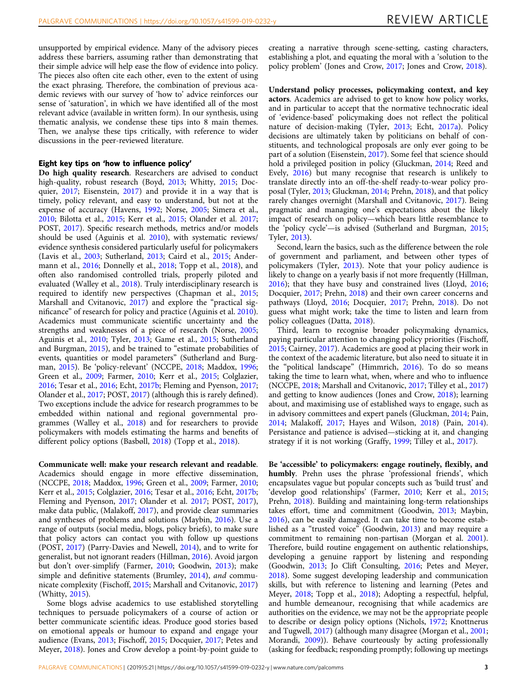unsupported by empirical evidence. Many of the advisory pieces address these barriers, assuming rather than demonstrating that their simple advice will help ease the flow of evidence into policy. The pieces also often cite each other, even to the extent of using the exact phrasing. Therefore, the combination of previous academic reviews with our survey of 'how to' advice reinforces our sense of 'saturation', in which we have identified all of the most relevant advice (available in written form). In our synthesis, using thematic analysis, we condense these tips into 8 main themes. Then, we analyse these tips critically, with reference to wider discussions in the peer-reviewed literature.

# Eight key tips on 'how to influence policy'

Do high quality research. Researchers are advised to conduct high-quality, robust research (Boyd, [2013](#page-7-0); Whitty, [2015](#page-10-0); Docquier, [2017;](#page-7-0) Eisenstein, [2017](#page-8-0)) and provide it in a way that is timely, policy relevant, and easy to understand, but not at the expense of accuracy (Havens, [1992](#page-8-0); Norse, [2005](#page-9-0); Simera et al., [2010;](#page-9-0) Bilotta et al., [2015;](#page-7-0) Kerr et al., [2015](#page-8-0); Olander et al. [2017;](#page-9-0) POST, [2017\)](#page-9-0). Specific research methods, metrics and/or models should be used (Aguinis et al. [2010\)](#page-7-0), with systematic reviews/ evidence synthesis considered particularly useful for policymakers (Lavis et al., [2003](#page-8-0); Sutherland, [2013](#page-9-0); Caird et al., [2015](#page-7-0); Andermann et al., [2016](#page-7-0); Donnelly et al., [2018](#page-8-0); Topp et al., [2018\)](#page-10-0), and often also randomised controlled trials, properly piloted and evaluated (Walley et al., [2018](#page-10-0)). Truly interdisciplinary research is required to identify new perspectives (Chapman et al., [2015;](#page-7-0) Marshall and Cvitanovic, [2017](#page-9-0)) and explore the "practical significance" of research for policy and practice (Aguinis et al. [2010](#page-7-0)). Academics must communicate scientific uncertainty and the strengths and weaknesses of a piece of research (Norse, [2005;](#page-9-0) Aguinis et al., [2010;](#page-7-0) Tyler, [2013](#page-10-0); Game et al., [2015;](#page-8-0) Sutherland and Burgman, [2015](#page-9-0)), and be trained to "estimate probabilities of events, quantities or model parameters" (Sutherland and Burgman, [2015](#page-9-0)). Be 'policy-relevant' (NCCPE, [2018](#page-9-0); Maddox, [1996;](#page-9-0) Green et al., [2009](#page-8-0); Farmer, [2010](#page-8-0); Kerr et al., [2015](#page-8-0); Colglazier, [2016;](#page-7-0) Tesar et al., [2016;](#page-10-0) Echt, [2017b;](#page-8-0) Fleming and Pyenson, [2017;](#page-8-0) Olander et al., [2017;](#page-9-0) POST, [2017](#page-9-0)) (although this is rarely defined). Two exceptions include the advice for research programmes to be embedded within national and regional governmental programmes (Walley et al., [2018\)](#page-10-0) and for researchers to provide policymakers with models estimating the harms and benefits of different policy options (Basbøll, [2018](#page-7-0)) (Topp et al., [2018](#page-10-0)).

Communicate well: make your research relevant and readable. Academics should engage in more effective dissemination, (NCCPE, [2018](#page-9-0); Maddox, [1996](#page-9-0); Green et al., [2009;](#page-8-0) Farmer, [2010;](#page-8-0) Kerr et al., [2015;](#page-8-0) Colglazier, [2016](#page-7-0); Tesar et al., [2016;](#page-10-0) Echt, [2017b;](#page-8-0) Fleming and Pyenson, [2017](#page-8-0); Olander et al. [2017;](#page-9-0) POST, [2017](#page-9-0)), make data public, (Malakoff, [2017\)](#page-9-0), and provide clear summaries and syntheses of problems and solutions (Maybin, [2016](#page-9-0)). Use a range of outputs (social media, blogs, policy briefs), to make sure that policy actors can contact you with follow up questions (POST, [2017\)](#page-9-0) (Parry-Davies and Newell, [2014\)](#page-9-0), and to write for generalist, but not ignorant readers (Hillman, [2016\)](#page-8-0). Avoid jargon but don't over-simplify (Farmer, [2010](#page-8-0); Goodwin, [2013](#page-8-0)); make simple and definitive statements (Brumley, [2014](#page-7-0)), and communicate complexity (Fischoff, [2015](#page-8-0); Marshall and Cvitanovic, [2017](#page-9-0)) (Whitty, [2015\)](#page-10-0).

Some blogs advise academics to use established storytelling techniques to persuade policymakers of a course of action or better communicate scientific ideas. Produce good stories based on emotional appeals or humour to expand and engage your audience (Evans, [2013;](#page-8-0) Fischoff, [2015;](#page-8-0) Docquier, [2017](#page-7-0); Petes and Meyer, [2018\)](#page-9-0). Jones and Crow develop a point-by-point guide to

Understand policy processes, policymaking context, and key actors. Academics are advised to get to know how policy works, and in particular to accept that the normative technocratic ideal of 'evidence-based' policymaking does not reflect the political nature of decision-making (Tyler, [2013](#page-10-0); Echt, [2017a\)](#page-8-0). Policy decisions are ultimately taken by politicians on behalf of constituents, and technological proposals are only ever going to be part of a solution (Eisenstein, [2017](#page-8-0)). Some feel that science should hold a privileged position in policy (Gluckman, [2014;](#page-8-0) Reed and Evely, [2016](#page-9-0)) but many recognise that research is unlikely to translate directly into an off-the-shelf ready-to-wear policy proposal (Tyler, [2013](#page-10-0); Gluckman, [2014;](#page-8-0) Prehn, [2018\)](#page-9-0), and that policy rarely changes overnight (Marshall and Cvitanovic, [2017\)](#page-9-0). Being pragmatic and managing one's expectations about the likely impact of research on policy—which bears little resemblance to the 'policy cycle'—is advised (Sutherland and Burgman, [2015;](#page-9-0) Tyler, [2013\)](#page-10-0).

Second, learn the basics, such as the difference between the role of government and parliament, and between other types of policymakers (Tyler, [2013](#page-10-0)). Note that your policy audience is likely to change on a yearly basis if not more frequently (Hillman, [2016\)](#page-8-0); that they have busy and constrained lives (Lloyd, [2016;](#page-9-0) Docquier, [2017;](#page-7-0) Prehn, [2018\)](#page-9-0) and their own career concerns and pathways (Lloyd, [2016;](#page-9-0) Docquier, [2017](#page-7-0); Prehn, [2018](#page-9-0)). Do not guess what might work; take the time to listen and learn from policy colleagues (Datta, [2018](#page-7-0)).

Third, learn to recognise broader policymaking dynamics, paying particular attention to changing policy priorities (Fischoff, [2015;](#page-8-0) Cairney, [2017](#page-7-0)). Academics are good at placing their work in the context of the academic literature, but also need to situate it in the "political landscape" (Himmrich, [2016\)](#page-8-0). To do so means taking the time to learn what, when, where and who to influence (NCCPE, [2018;](#page-9-0) Marshall and Cvitanovic, [2017;](#page-9-0) Tilley et al., [2017](#page-10-0)) and getting to know audiences (Jones and Crow, [2018](#page-8-0)); learning about, and maximising use of established ways to engage, such as in advisory committees and expert panels (Gluckman, [2014](#page-8-0); Pain, [2014;](#page-9-0) Malakoff, [2017](#page-9-0); Hayes and Wilson, [2018](#page-8-0)) (Pain, [2014](#page-9-0)). Persistance and patience is advised—sticking at it, and changing strategy if it is not working (Graffy, [1999;](#page-8-0) Tilley et al., [2017\)](#page-10-0).

Be 'accessible' to policymakers: engage routinely, flexibly, and humbly. Prehn uses the phrase 'professional friends', which encapsulates vague but popular concepts such as 'build trust' and 'develop good relationships' (Farmer, [2010;](#page-8-0) Kerr et al., [2015;](#page-8-0) Prehn, [2018](#page-9-0)). Building and maintaining long-term relationships takes effort, time and commitment (Goodwin, [2013](#page-8-0); Maybin, [2016\)](#page-9-0), can be easily damaged. It can take time to become established as a "trusted voice" (Goodwin, [2013\)](#page-8-0) and may require a commitment to remaining non-partisan (Morgan et al. [2001](#page-9-0)). Therefore, build routine engagement on authentic relationships, developing a genuine rapport by listening and responding (Goodwin, [2013](#page-8-0); Jo Clift Consulting, [2016](#page-8-0); Petes and Meyer, [2018\)](#page-9-0). Some suggest developing leadership and communication skills, but with reference to listening and learning (Petes and Meyer, [2018;](#page-9-0) Topp et al., [2018](#page-10-0)); Adopting a respectful, helpful, and humble demeanour, recognising that while academics are authorities on the evidence, we may not be the appropriate people to describe or design policy options (Nichols, [1972](#page-9-0); Knottnerus and Tugwell, [2017\)](#page-8-0) (although many disagree (Morgan et al., [2001;](#page-9-0) Morandi, [2009](#page-9-0))). Behave courteously by acting professionally (asking for feedback; responding promptly; following up meetings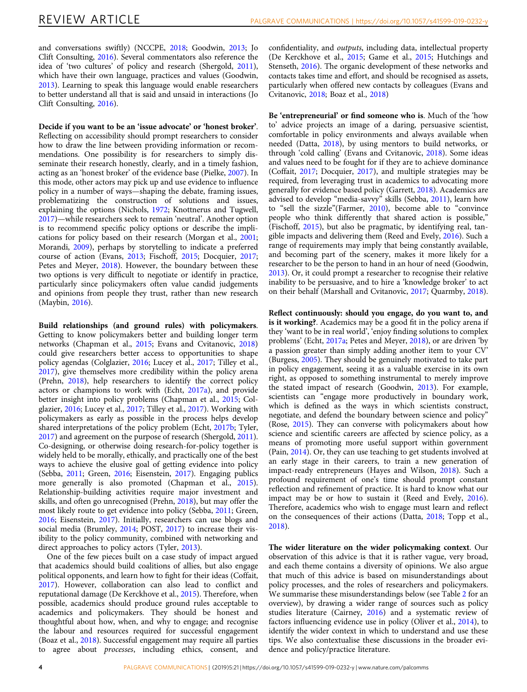and conversations swiftly) (NCCPE, [2018](#page-9-0); Goodwin, [2013](#page-8-0); Jo Clift Consulting, [2016](#page-8-0)). Several commentators also reference the idea of 'two cultures' of policy and research (Shergold, [2011](#page-9-0)), which have their own language, practices and values (Goodwin, [2013\)](#page-8-0). Learning to speak this language would enable researchers to better understand all that is said and unsaid in interactions (Jo Clift Consulting, [2016](#page-8-0)).

Decide if you want to be an 'issue advocate' or 'honest broker'. Reflecting on accessibility should prompt researchers to consider how to draw the line between providing information or recommendations. One possibility is for researchers to simply disseminate their research honestly, clearly, and in a timely fashion, acting as an 'honest broker' of the evidence base (Pielke, [2007\)](#page-9-0). In this mode, other actors may pick up and use evidence to influence policy in a number of ways—shaping the debate, framing issues, problematizing the construction of solutions and issues, explaining the options (Nichols, [1972;](#page-9-0) Knottnerus and Tugwell, [2017\)](#page-8-0)—while researchers seek to remain 'neutral'. Another option is to recommend specific policy options or describe the implications for policy based on their research (Morgan et al., [2001;](#page-9-0) Morandi, [2009\)](#page-9-0), perhaps by storytelling to indicate a preferred course of action (Evans, [2013](#page-8-0); Fischoff, [2015](#page-8-0); Docquier, [2017;](#page-7-0) Petes and Meyer, [2018\)](#page-9-0). However, the boundary between these two options is very difficult to negotiate or identify in practice, particularly since policymakers often value candid judgements and opinions from people they trust, rather than new research (Maybin, [2016](#page-9-0)).

Build relationships (and ground rules) with policymakers. Getting to know policymakers better and building longer term networks (Chapman et al., [2015;](#page-7-0) Evans and Cvitanovic, [2018](#page-8-0)) could give researchers better access to opportunities to shape policy agendas (Colglazier, [2016;](#page-7-0) Lucey et al., [2017;](#page-9-0) Tilley et al., [2017\)](#page-10-0), give themselves more credibility within the policy arena (Prehn, [2018\)](#page-9-0), help researchers to identify the correct policy actors or champions to work with (Echt, [2017a\)](#page-8-0), and provide better insight into policy problems (Chapman et al., [2015](#page-7-0); Colglazier, [2016;](#page-7-0) Lucey et al., [2017](#page-9-0); Tilley et al., [2017\)](#page-10-0). Working with policymakers as early as possible in the process helps develop shared interpretations of the policy problem (Echt, [2017b;](#page-8-0) Tyler, [2017\)](#page-10-0) and agreement on the purpose of research (Shergold, [2011](#page-9-0)). Co-designing, or otherwise doing research-for-policy together is widely held to be morally, ethically, and practically one of the best ways to achieve the elusive goal of getting evidence into policy (Sebba, [2011](#page-9-0); Green, [2016](#page-8-0); Eisenstein, [2017\)](#page-8-0). Engaging publics more generally is also promoted (Chapman et al., [2015](#page-7-0)). Relationship-building activities require major investment and skills, and often go unrecognised (Prehn, [2018](#page-9-0)), but may offer the most likely route to get evidence into policy (Sebba, [2011;](#page-9-0) Green, [2016;](#page-8-0) Eisenstein, [2017\)](#page-8-0). Initially, researchers can use blogs and social media (Brumley, [2014;](#page-7-0) POST, [2017](#page-9-0)) to increase their visibility to the policy community, combined with networking and direct approaches to policy actors (Tyler, [2013](#page-10-0)).

One of the few pieces built on a case study of impact argued that academics should build coalitions of allies, but also engage political opponents, and learn how to fight for their ideas (Coffait, [2017\)](#page-7-0). However, collaboration can also lead to conflict and reputational damage (De Kerckhove et al., [2015](#page-8-0)). Therefore, when possible, academics should produce ground rules acceptable to academics and policymakers. They should be honest and thoughtful about how, when, and why to engage; and recognise the labour and resources required for successful engagement (Boaz et al., [2018](#page-7-0)). Successful engagement may require all parties to agree about processes, including ethics, consent, and

confidentiality, and outputs, including data, intellectual property (De Kerckhove et al., [2015;](#page-8-0) Game et al., [2015;](#page-8-0) Hutchings and Stenseth, [2016](#page-8-0)). The organic development of these networks and contacts takes time and effort, and should be recognised as assets, particularly when offered new contacts by colleagues (Evans and Cvitanovic, [2018;](#page-8-0) Boaz et al., [2018](#page-7-0))

Be 'entrepreneurial' or find someone who is. Much of the 'how to' advice projects an image of a daring, persuasive scientist, comfortable in policy environments and always available when needed (Datta, [2018](#page-7-0)), by using mentors to build networks, or through 'cold calling' (Evans and Cvitanovic, [2018\)](#page-8-0). Some ideas and values need to be fought for if they are to achieve dominance (Coffait, [2017;](#page-7-0) Docquier, [2017\)](#page-7-0), and multiple strategies may be required, from leveraging trust in academics to advocating more generally for evidence based policy (Garrett, [2018](#page-8-0)). Academics are advised to develop "media-savvy" skills (Sebba, [2011](#page-9-0)), learn how to "sell the sizzle"(Farmer, [2010\)](#page-8-0), become able to "convince people who think differently that shared action is possible," (Fischoff, [2015\)](#page-8-0), but also be pragmatic, by identifying real, tangible impacts and delivering them (Reed and Evely, [2016\)](#page-9-0). Such a range of requirements may imply that being constantly available, and becoming part of the scenery, makes it more likely for a researcher to be the person to hand in an hour of need (Goodwin, [2013\)](#page-8-0). Or, it could prompt a researcher to recognise their relative inability to be persuasive, and to hire a 'knowledge broker' to act on their behalf (Marshall and Cvitanovic, [2017](#page-9-0); Quarmby, [2018](#page-9-0)).

Reflect continuously: should you engage, do you want to, and is it working?. Academics may be a good fit in the policy arena if they 'want to be in real world', 'enjoy finding solutions to complex problems' (Echt, [2017a;](#page-8-0) Petes and Meyer, [2018](#page-9-0)), or are driven 'by a passion greater than simply adding another item to your CV' (Burgess, [2005\)](#page-7-0). They should be genuinely motivated to take part in policy engagement, seeing it as a valuable exercise in its own right, as opposed to something instrumental to merely improve the stated impact of research (Goodwin, [2013](#page-8-0)). For example, scientists can "engage more productively in boundary work, which is defined as the ways in which scientists construct, negotiate, and defend the boundary between science and policy" (Rose, [2015\)](#page-9-0). They can converse with policymakers about how science and scientific careers are affected by science policy, as a means of promoting more useful support within government (Pain, [2014\)](#page-9-0). Or, they can use teaching to get students involved at an early stage in their careers, to train a new generation of impact-ready entrepreneurs (Hayes and Wilson, [2018](#page-8-0)). Such a profound requirement of one's time should prompt constant reflection and refinement of practice. It is hard to know what our impact may be or how to sustain it (Reed and Evely, [2016](#page-9-0)). Therefore, academics who wish to engage must learn and reflect on the consequences of their actions (Datta, [2018](#page-7-0); Topp et al., [2018\)](#page-10-0).

The wider literature on the wider policymaking context. Our observation of this advice is that it is rather vague, very broad, and each theme contains a diversity of opinions. We also argue that much of this advice is based on misunderstandings about policy processes, and the roles of researchers and policymakers. We summarise these misunderstandings below (see Table [2](#page-4-0) for an overview), by drawing a wider range of sources such as policy studies literature (Cairney, [2016\)](#page-7-0) and a systematic review of factors influencing evidence use in policy (Oliver et al., [2014\)](#page-9-0), to identify the wider context in which to understand and use these tips. We also contextualise these discussions in the broader evidence and policy/practice literature.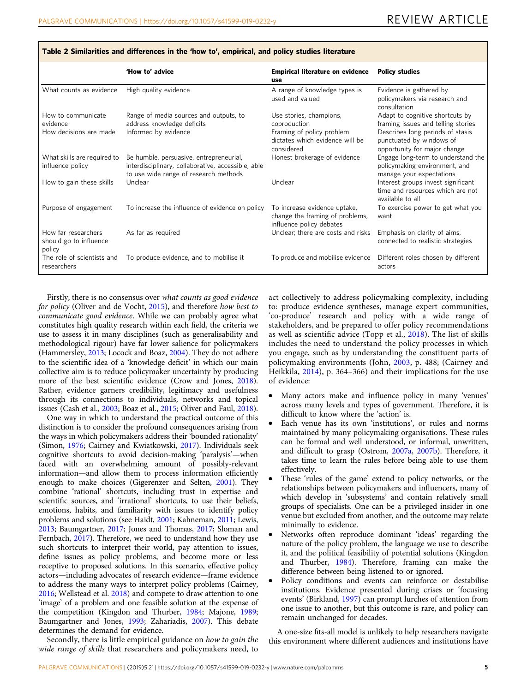|                                                          | 'How to' advice                                                                                                                        | <b>Empirical literature on evidence</b><br>use                                              | <b>Policy studies</b>                                                                                     |
|----------------------------------------------------------|----------------------------------------------------------------------------------------------------------------------------------------|---------------------------------------------------------------------------------------------|-----------------------------------------------------------------------------------------------------------|
| What counts as evidence                                  | High quality evidence                                                                                                                  | A range of knowledge types is<br>used and valued                                            | Evidence is gathered by<br>policymakers via research and<br>consultation                                  |
| How to communicate<br>evidence<br>How decisions are made | Range of media sources and outputs, to<br>address knowledge deficits<br>Informed by evidence                                           | Use stories, champions,<br>coproduction<br>Framing of policy problem                        | Adapt to cognitive shortcuts by<br>framing issues and telling stories<br>Describes long periods of stasis |
|                                                          |                                                                                                                                        | dictates which evidence will be<br>considered                                               | punctuated by windows of<br>opportunity for major change                                                  |
| What skills are required to<br>influence policy          | Be humble, persuasive, entrepreneurial,<br>interdisciplinary, collaborative, accessible, able<br>to use wide range of research methods | Honest brokerage of evidence                                                                | Engage long-term to understand the<br>policymaking environment, and<br>manage your expectations           |
| How to gain these skills                                 | Unclear                                                                                                                                | Unclear                                                                                     | Interest groups invest significant<br>time and resources which are not<br>available to all                |
| Purpose of engagement                                    | To increase the influence of evidence on policy                                                                                        | To increase evidence uptake,<br>change the framing of problems,<br>influence policy debates | To exercise power to get what you<br>want                                                                 |
| How far researchers<br>should go to influence<br>policy  | As far as reguired                                                                                                                     | Unclear; there are costs and risks                                                          | Emphasis on clarity of aims,<br>connected to realistic strategies                                         |
| The role of scientists and<br>researchers                | To produce evidence, and to mobilise it                                                                                                |                                                                                             | To produce and mobilise evidence Different roles chosen by different<br>actors                            |

<span id="page-4-0"></span>Table 2 Similarities and differences in the 'how to', empirical, and policy studies literature

Firstly, there is no consensus over what counts as good evidence for policy (Oliver and de Vocht, [2015](#page-9-0)), and therefore how best to communicate good evidence. While we can probably agree what constitutes high quality research within each field, the criteria we use to assess it in many disciplines (such as generalisability and methodological rigour) have far lower salience for policymakers (Hammersley, [2013;](#page-8-0) Locock and Boaz, [2004](#page-9-0)). They do not adhere to the scientific idea of a 'knowledge deficit' in which our main collective aim is to reduce policymaker uncertainty by producing more of the best scientific evidence (Crow and Jones, [2018](#page-7-0)). Rather, evidence garners credibility, legitimacy and usefulness through its connections to individuals, networks and topical issues (Cash et al., [2003](#page-7-0); Boaz et al., [2015;](#page-7-0) Oliver and Faul, [2018](#page-9-0)).

One way in which to understand the practical outcome of this distinction is to consider the profound consequences arising from the ways in which policymakers address their 'bounded rationality' (Simon, [1976](#page-9-0); Cairney and Kwiatkowski, [2017\)](#page-7-0). Individuals seek cognitive shortcuts to avoid decision-making 'paralysis'—when faced with an overwhelming amount of possibly-relevant information—and allow them to process information efficiently enough to make choices (Gigerenzer and Selten, [2001](#page-8-0)). They combine 'rational' shortcuts, including trust in expertise and scientific sources, and 'irrational' shortcuts, to use their beliefs, emotions, habits, and familiarity with issues to identify policy problems and solutions (see Haidt, [2001](#page-8-0); Kahneman, [2011;](#page-8-0) Lewis, [2013;](#page-9-0) Baumgartner, [2017;](#page-7-0) Jones and Thomas, [2017](#page-8-0); Sloman and Fernbach, [2017](#page-9-0)). Therefore, we need to understand how they use such shortcuts to interpret their world, pay attention to issues, define issues as policy problems, and become more or less receptive to proposed solutions. In this scenario, effective policy actors—including advocates of research evidence—frame evidence to address the many ways to interpret policy problems (Cairney, [2016;](#page-7-0) Wellstead et al. [2018\)](#page-10-0) and compete to draw attention to one 'image' of a problem and one feasible solution at the expense of the competition (Kingdon and Thurber, [1984](#page-8-0); Majone, [1989;](#page-9-0) Baumgartner and Jones, [1993;](#page-7-0) Zahariadis, [2007\)](#page-10-0). This debate determines the demand for evidence.

Secondly, there is little empirical guidance on how to gain the wide range of skills that researchers and policymakers need, to

act collectively to address policymaking complexity, including to: produce evidence syntheses, manage expert communities, 'co-produce' research and policy with a wide range of stakeholders, and be prepared to offer policy recommendations as well as scientific advice (Topp et al., [2018\)](#page-10-0). The list of skills includes the need to understand the policy processes in which you engage, such as by understanding the constituent parts of policymaking environments (John, [2003,](#page-8-0) p. 488; (Cairney and Heikkila, [2014\)](#page-7-0), p. 364–366) and their implications for the use of evidence:

- Many actors make and influence policy in many 'venues' across many levels and types of government. Therefore, it is difficult to know where the 'action' is.
- Each venue has its own 'institutions', or rules and norms maintained by many policymaking organisations. These rules can be formal and well understood, or informal, unwritten, and difficult to grasp (Ostrom, [2007a](#page-9-0), [2007b](#page-9-0)). Therefore, it takes time to learn the rules before being able to use them effectively.
- These 'rules of the game' extend to policy networks, or the relationships between policymakers and influencers, many of which develop in 'subsystems' and contain relatively small groups of specialists. One can be a privileged insider in one venue but excluded from another, and the outcome may relate minimally to evidence.
- Networks often reproduce dominant 'ideas' regarding the nature of the policy problem, the language we use to describe it, and the political feasibility of potential solutions (Kingdon and Thurber, [1984](#page-8-0)). Therefore, framing can make the difference between being listened to or ignored.
- Policy conditions and events can reinforce or destabilise institutions. Evidence presented during crises or 'focusing events' (Birkland, [1997\)](#page-7-0) can prompt lurches of attention from one issue to another, but this outcome is rare, and policy can remain unchanged for decades.

A one-size fits-all model is unlikely to help researchers navigate this environment where different audiences and institutions have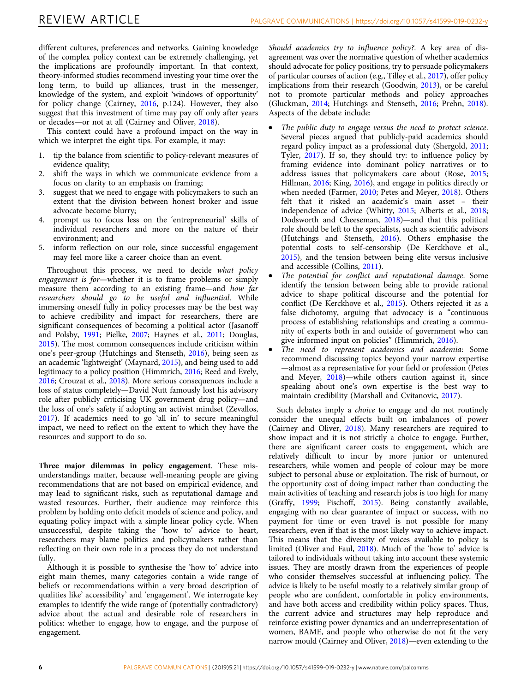different cultures, preferences and networks. Gaining knowledge of the complex policy context can be extremely challenging, yet the implications are profoundly important. In that context, theory-informed studies recommend investing your time over the long term, to build up alliances, trust in the messenger, knowledge of the system, and exploit 'windows of opportunity' for policy change (Cairney, [2016,](#page-7-0) p.124). However, they also suggest that this investment of time may pay off only after years or decades—or not at all (Cairney and Oliver, [2018\)](#page-7-0).

This context could have a profound impact on the way in which we interpret the eight tips. For example, it may:

- 1. tip the balance from scientific to policy-relevant measures of evidence quality;
- 2. shift the ways in which we communicate evidence from a focus on clarity to an emphasis on framing;
- 3. suggest that we need to engage with policymakers to such an extent that the division between honest broker and issue advocate become blurry;
- 4. prompt us to focus less on the 'entrepreneurial' skills of individual researchers and more on the nature of their environment; and
- 5. inform reflection on our role, since successful engagement may feel more like a career choice than an event.

Throughout this process, we need to decide what policy engagement is for—whether it is to frame problems or simply measure them according to an existing frame—and how far researchers should go to be useful and influential. While immersing oneself fully in policy processes may be the best way to achieve credibility and impact for researchers, there are significant consequences of becoming a political actor (Jasanoff and Polsby, [1991](#page-8-0); Pielke, [2007;](#page-9-0) Haynes et al., [2011;](#page-8-0) Douglas, [2015\)](#page-8-0). The most common consequences include criticism within one's peer-group (Hutchings and Stenseth, [2016](#page-8-0)), being seen as an academic 'lightweight' (Maynard, [2015](#page-9-0)), and being used to add legitimacy to a policy position (Himmrich, [2016](#page-8-0); Reed and Evely, [2016;](#page-9-0) Crouzat et al., [2018](#page-7-0)). More serious consequences include a loss of status completely—David Nutt famously lost his advisory role after publicly criticising UK government drug policy—and the loss of one's safety if adopting an activist mindset (Zevallos, [2017\)](#page-10-0). If academics need to go 'all in' to secure meaningful impact, we need to reflect on the extent to which they have the resources and support to do so.

Three major dilemmas in policy engagement. These misunderstandings matter, because well-meaning people are giving recommendations that are not based on empirical evidence, and may lead to significant risks, such as reputational damage and wasted resources. Further, their audience may reinforce this problem by holding onto deficit models of science and policy, and equating policy impact with a simple linear policy cycle. When unsuccessful, despite taking the 'how to' advice to heart, researchers may blame politics and policymakers rather than reflecting on their own role in a process they do not understand fully.

Although it is possible to synthesise the 'how to' advice into eight main themes, many categories contain a wide range of beliefs or recommendations within a very broad description of qualities like' accessibility' and 'engagement'. We interrogate key examples to identify the wide range of (potentially contradictory) advice about the actual and desirable role of researchers in politics: whether to engage, how to engage, and the purpose of engagement.

Should academics try to influence policy?. A key area of disagreement was over the normative question of whether academics should advocate for policy positions, try to persuade policymakers of particular courses of action (e.g., Tilley et al., [2017](#page-10-0)), offer policy implications from their research (Goodwin, [2013\)](#page-8-0), or be careful not to promote particular methods and policy approaches (Gluckman, [2014](#page-8-0); Hutchings and Stenseth, [2016](#page-8-0); Prehn, [2018](#page-9-0)). Aspects of the debate include:

- The public duty to engage versus the need to protect science. Several pieces argued that publicly-paid academics should regard policy impact as a professional duty (Shergold, [2011;](#page-9-0) Tyler, [2017](#page-10-0)). If so, they should try: to influence policy by framing evidence into dominant policy narratives or to address issues that policymakers care about (Rose, [2015;](#page-9-0) Hillman, [2016](#page-8-0); King, [2016](#page-8-0)), and engage in politics directly or when needed (Farmer, [2010](#page-8-0); Petes and Meyer, [2018\)](#page-9-0). Others felt that it risked an academic's main asset – their independence of advice (Whitty, [2015](#page-10-0); Alberts et al., [2018;](#page-7-0) Dodsworth and Cheeseman, [2018](#page-7-0))—and that this political role should be left to the specialists, such as scientific advisors (Hutchings and Stenseth, [2016](#page-8-0)). Others emphasise the potential costs to self-censorship (De Kerckhove et al., [2015\)](#page-8-0), and the tension between being elite versus inclusive and accessible (Collins, [2011\)](#page-7-0).
- The potential for conflict and reputational damage. Some identify the tension between being able to provide rational advice to shape political discourse and the potential for conflict (De Kerckhove et al., [2015](#page-8-0)). Others rejected it as a false dichotomy, arguing that advocacy is a "continuous process of establishing relationships and creating a community of experts both in and outside of government who can give informed input on policies" (Himmrich, [2016](#page-8-0)).
- The need to represent academics and academia: Some recommend discussing topics beyond your narrow expertise —almost as a representative for your field or profession (Petes and Meyer, [2018](#page-9-0))—while others caution against it, since speaking about one's own expertise is the best way to maintain credibility (Marshall and Cvitanovic, [2017\)](#page-9-0).

Such debates imply a choice to engage and do not routinely consider the unequal effects built on imbalances of power (Cairney and Oliver, [2018](#page-7-0)). Many researchers are required to show impact and it is not strictly a choice to engage. Further, there are significant career costs to engagement, which are relatively difficult to incur by more junior or untenured researchers, while women and people of colour may be more subject to personal abuse or exploitation. The risk of burnout, or the opportunity cost of doing impact rather than conducting the main activities of teaching and research jobs is too high for many (Graffy, [1999](#page-8-0); Fischoff, [2015](#page-8-0)). Being constantly available, engaging with no clear guarantee of impact or success, with no payment for time or even travel is not possible for many researchers, even if that is the most likely way to achieve impact. This means that the diversity of voices available to policy is limited (Oliver and Faul, [2018](#page-9-0)). Much of the 'how to' advice is tailored to individuals without taking into account these systemic issues. They are mostly drawn from the experiences of people who consider themselves successful at influencing policy. The advice is likely to be useful mostly to a relatively similar group of people who are confident, comfortable in policy environments, and have both access and credibility within policy spaces. Thus, the current advice and structures may help reproduce and reinforce existing power dynamics and an underrepresentation of women, BAME, and people who otherwise do not fit the very narrow mould (Cairney and Oliver, [2018\)](#page-7-0)—even extending to the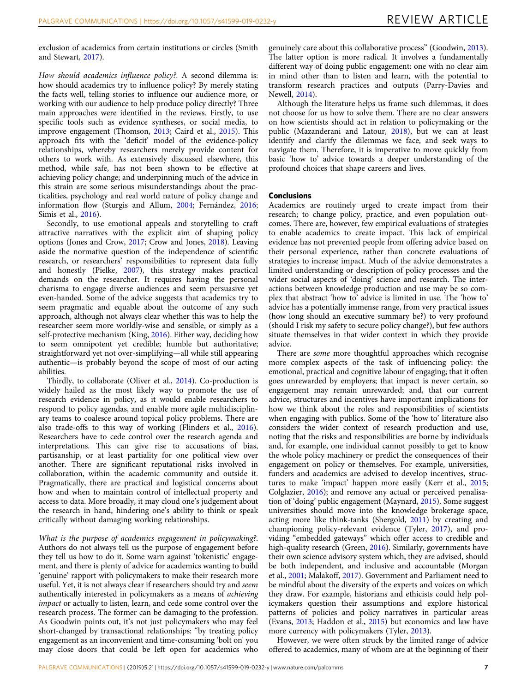exclusion of academics from certain institutions or circles (Smith and Stewart, [2017](#page-9-0)).

How should academics influence policy?. A second dilemma is: how should academics try to influence policy? By merely stating the facts well, telling stories to influence our audience more, or working with our audience to help produce policy directly? Three main approaches were identified in the reviews. Firstly, to use specific tools such as evidence syntheses, or social media, to improve engagement (Thomson, [2013;](#page-10-0) Caird et al., [2015\)](#page-7-0). This approach fits with the 'deficit' model of the evidence-policy relationships, whereby researchers merely provide content for others to work with. As extensively discussed elsewhere, this method, while safe, has not been shown to be effective at achieving policy change; and underpinning much of the advice in this strain are some serious misunderstandings about the practicalities, psychology and real world nature of policy change and information flow (Sturgis and Allum, [2004;](#page-9-0) Fernández, [2016;](#page-8-0) Simis et al., [2016](#page-9-0)).

Secondly, to use emotional appeals and storytelling to craft attractive narratives with the explicit aim of shaping policy options (Jones and Crow, [2017](#page-8-0); Crow and Jones, [2018\)](#page-7-0). Leaving aside the normative question of the independence of scientific research, or researchers' responsibilities to represent data fully and honestly (Pielke, [2007\)](#page-9-0), this strategy makes practical demands on the researcher. It requires having the personal charisma to engage diverse audiences and seem persuasive yet even-handed. Some of the advice suggests that academics try to seem pragmatic and equable about the outcome of any such approach, although not always clear whether this was to help the researcher seem more worldly-wise and sensible, or simply as a self-protective mechanism (King, [2016\)](#page-8-0). Either way, deciding how to seem omnipotent yet credible; humble but authoritative; straightforward yet not over-simplifying—all while still appearing authentic—is probably beyond the scope of most of our acting abilities.

Thirdly, to collaborate (Oliver et al., [2014\)](#page-9-0). Co-production is widely hailed as the most likely way to promote the use of research evidence in policy, as it would enable researchers to respond to policy agendas, and enable more agile multidisciplinary teams to coalesce around topical policy problems. There are also trade-offs to this way of working (Flinders et al., [2016](#page-8-0)). Researchers have to cede control over the research agenda and interpretations. This can give rise to accusations of bias, partisanship, or at least partiality for one political view over another. There are significant reputational risks involved in collaboration, within the academic community and outside it. Pragmatically, there are practical and logistical concerns about how and when to maintain control of intellectual property and access to data. More broadly, it may cloud one's judgement about the research in hand, hindering one's ability to think or speak critically without damaging working relationships.

What is the purpose of academics engagement in policymaking?. Authors do not always tell us the purpose of engagement before they tell us how to do it. Some warn against 'tokenistic' engagement, and there is plenty of advice for academics wanting to build 'genuine' rapport with policymakers to make their research more useful. Yet, it is not always clear if researchers should try and seem authentically interested in policymakers as a means of achieving impact or actually to listen, learn, and cede some control over the research process. The former can be damaging to the profession. As Goodwin points out, it's not just policymakers who may feel short-changed by transactional relationships: "by treating policy engagement as an inconvenient and time-consuming 'bolt on' you may close doors that could be left open for academics who

genuinely care about this collaborative process" (Goodwin, [2013](#page-8-0)). The latter option is more radical. It involves a fundamentally different way of doing public engagement: one with no clear aim in mind other than to listen and learn, with the potential to transform research practices and outputs (Parry-Davies and Newell, [2014\)](#page-9-0).

Although the literature helps us frame such dilemmas, it does not choose for us how to solve them. There are no clear answers on how scientists should act in relation to policymaking or the public (Mazanderani and Latour, [2018](#page-9-0)), but we can at least identify and clarify the dilemmas we face, and seek ways to navigate them. Therefore, it is imperative to move quickly from basic 'how to' advice towards a deeper understanding of the profound choices that shape careers and lives.

## Conclusions

Academics are routinely urged to create impact from their research; to change policy, practice, and even population outcomes. There are, however, few empirical evaluations of strategies to enable academics to create impact. This lack of empirical evidence has not prevented people from offering advice based on their personal experience, rather than concrete evaluations of strategies to increase impact. Much of the advice demonstrates a limited understanding or description of policy processes and the wider social aspects of 'doing' science and research. The interactions between knowledge production and use may be so complex that abstract 'how to' advice is limited in use. The 'how to' advice has a potentially immense range, from very practical issues (how long should an executive summary be?) to very profound (should I risk my safety to secure policy change?), but few authors situate themselves in that wider context in which they provide advice.

There are some more thoughtful approaches which recognise more complex aspects of the task of influencing policy: the emotional, practical and cognitive labour of engaging; that it often goes unrewarded by employers; that impact is never certain, so engagement may remain unrewarded; and, that our current advice, structures and incentives have important implications for how we think about the roles and responsibilities of scientists when engaging with publics. Some of the 'how to' literature also considers the wider context of research production and use, noting that the risks and responsibilities are borne by individuals and, for example, one individual cannot possibly to get to know the whole policy machinery or predict the consequences of their engagement on policy or themselves. For example, universities, funders and academics are advised to develop incentives, structures to make 'impact' happen more easily (Kerr et al., [2015;](#page-8-0) Colglazier, [2016](#page-7-0)); and remove any actual or perceived penalisation of 'doing' public engagement (Maynard, [2015](#page-9-0)). Some suggest universities should move into the knowledge brokerage space, acting more like think-tanks (Shergold, [2011\)](#page-9-0) by creating and championing policy-relevant evidence (Tyler, [2017\)](#page-10-0), and providing "embedded gateways" which offer access to credible and high-quality research (Green, [2016\)](#page-8-0). Similarly, governments have their own science advisory system which, they are advised, should be both independent, and inclusive and accountable (Morgan et al., [2001](#page-9-0); Malakoff, [2017](#page-9-0)). Government and Parliament need to be mindful about the diversity of the experts and voices on which they draw. For example, historians and ethicists could help policymakers question their assumptions and explore historical patterns of policies and policy narratives in particular areas (Evans, [2013;](#page-8-0) Haddon et al., [2015\)](#page-8-0) but economics and law have more currency with policymakers (Tyler, [2013](#page-10-0)).

However, we were often struck by the limited range of advice offered to academics, many of whom are at the beginning of their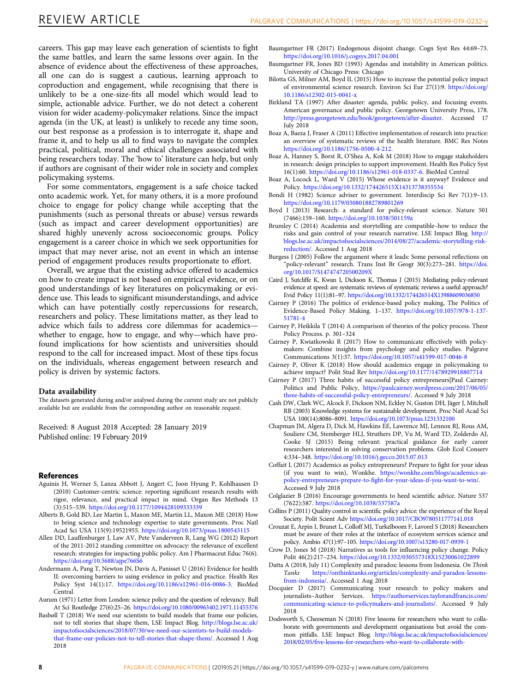<span id="page-7-0"></span>careers. This gap may leave each generation of scientists to fight the same battles, and learn the same lessons over again. In the absence of evidence about the effectiveness of these approaches, all one can do is suggest a cautious, learning approach to coproduction and engagement, while recognising that there is unlikely to be a one-size-fits all model which would lead to simple, actionable advice. Further, we do not detect a coherent vision for wider academy-policymaker relations. Since the impact agenda (in the UK, at least) is unlikely to recede any time soon, our best response as a profession is to interrogate it, shape and frame it, and to help us all to find ways to navigate the complex practical, political, moral and ethical challenges associated with being researchers today. The 'how to' literature can help, but only if authors are cognisant of their wider role in society and complex policymaking systems.

For some commentators, engagement is a safe choice tacked onto academic work. Yet, for many others, it is a more profound choice to engage for policy change while accepting that the punishments (such as personal threats or abuse) versus rewards (such as impact and career development opportunities) are shared highly unevenly across socioeconomic groups. Policy engagement is a career choice in which we seek opportunities for impact that may never arise, not an event in which an intense period of engagement produces results proportionate to effort.

Overall, we argue that the existing advice offered to academics on how to create impact is not based on empirical evidence, or on good understandings of key literatures on policymaking or evidence use. This leads to significant misunderstandings, and advice which can have potentially costly repercussions for research, researchers and policy. These limitations matter, as they lead to advice which fails to address core dilemmas for academics whether to engage, how to engage, and why—which have profound implications for how scientists and universities should respond to the call for increased impact. Most of these tips focus on the individuals, whereas engagement between research and policy is driven by systemic factors.

#### Data availability

The datasets generated during and/or analysed during the current study are not publicly available but are available from the corresponding author on reasonable request.

Received: 8 August 2018 Accepted: 28 January 2019 Published online: 19 February 2019

#### References

- Aguinis H, Werner S, Lanza Abbott J, Angert C, Joon Hyung P, Kohlhausen D (2010) Customer-centric science: reporting significant research results with rigor, relevance, and practical impact in mind. Organ Res Methods 13 (3):515–539. <https://doi.org/10.1177/1094428109333339>
- Alberts B, Gold BD, Lee Martin L, Maxon ME, Martin LL, Maxon ME (2018) How to bring science and technology expertise to state governments. Proc Natl Acad Sci USA 115(9):19521955. <https://doi.org/10.1073/pnas.1800543115>
- Allen DD, Lauffenburger J, Law AV, Pete Vanderveen R, Lang WG (2012) Report of the 2011-2012 standing committee on advocacy: the relevance of excellent research: strategies for impacting public policy. Am J Pharmaceut Educ 76(6). <https://doi.org/10.5688/ajpe766S6>
- Andermann A, Pang T, Newton JN, Davis A, Panisset U (2016) Evidence for health II: overcoming barriers to using evidence in policy and practice. Health Res Policy Syst 14(1):17. <https://doi.org/10.1186/s12961-016-0086-3>. BioMed Central
- Aurum (1971) Letter from London: science policy and the question of relevancy. Bull At Sci Routledge 27(6):25–26. <https://doi.org/10.1080/00963402.1971.11455376>
- Basbøll T (2018) We need our scientists to build models that frame our policies, not to tell stories that shape them, LSE Impact Blog. [http://blogs.lse.ac.uk/](http://blogs.lse.ac.uk/impactofsocialsciences/2018/07/30/we-need-our-scientists-to-build-models-that-frame-our-policies-not-to-tell-stories-that-shape-them/) [impactofsocialsciences/2018/07/30/we-need-our-scientists-to-build-models](http://blogs.lse.ac.uk/impactofsocialsciences/2018/07/30/we-need-our-scientists-to-build-models-that-frame-our-policies-not-to-tell-stories-that-shape-them/)[that-frame-our-policies-not-to-tell-stories-that-shape-them/.](http://blogs.lse.ac.uk/impactofsocialsciences/2018/07/30/we-need-our-scientists-to-build-models-that-frame-our-policies-not-to-tell-stories-that-shape-them/) Accessed 1 Aug 2018
- Baumgartner FR (2017) Endogenous disjoint change. Cogn Syst Res 44:69–73. <https://doi.org/10.1016/j.cogsys.2017.04.001>
- Baumgartner FR, Jones BD (1993) Agendas and instability in American politics. University of Chicago Press: Chicago
- Bilotta GS, Milner AM, Boyd IL (2015) How to increase the potential policy impact of environmental science research. Environ Sci Eur 27(1):9. [https://doi.org/](https://doi.org/10.1186/s12302-015-0041-x) [10.1186/s12302-015-0041-x](https://doi.org/10.1186/s12302-015-0041-x)
- Birkland TA (1997) After disaster: agenda, public policy, and focusing events. American governance and public policy. Georgetown University Press, 178. <http://press.georgetown.edu/book/georgetown/after-disaster>. Accessed 17 July 2018
- Boaz A, Baeza J, Fraser A (2011) Effective implementation of research into practice: an overview of systematic reviews of the health literature. BMC Res Notes <https://doi.org/10.1186/1756-0500-4-212>.
- Boaz A, Hanney S, Borst R, O'Shea A, Kok M (2018) How to engage stakeholders in research: design principles to support improvement. Health Res Policy Syst 16(1):60. <https://doi.org/10.1186/s12961-018-0337-6>. BioMed Central
- Boaz A, Locock L, Ward V (2015) Whose evidence is it anyway? Evidence and Policy. <https://doi.org/10.1332/174426515X14313738355534>
- Bondi H (1982) Science adviser to government. Interdiscip Sci Rev 7(1):9–13. <https://doi.org/10.1179/030801882789801269>
- Boyd I (2013) Research: a standard for policy-relevant science. Nature 501 (7466):159–160. <https://doi.org/10.1038/501159a>
- Brumley C (2014) Academia and storytelling are compatible–how to reduce the risks and gain control of your research narrative. LSE Impact Blog. [http://](http://blogs.lse.ac.uk/impactofsocialsciences/2014/08/27/academic-storytelling-risk-reduction/) [blogs.lse.ac.uk/impactofsocialsciences/2014/08/27/academic-storytelling-risk](http://blogs.lse.ac.uk/impactofsocialsciences/2014/08/27/academic-storytelling-risk-reduction/)[reduction/.](http://blogs.lse.ac.uk/impactofsocialsciences/2014/08/27/academic-storytelling-risk-reduction/) Accessed 1 Aug 2018
- Burgess J (2005) Follow the argument where it leads: Some personal reflections on "policy-relevant" research. Trans Inst Br Geogr 30(3):273–281. [https://doi.](https://doi.org/10.1017/S147474720500209X) [org/10.1017/S147474720500209X](https://doi.org/10.1017/S147474720500209X)
- Caird J, Sutcliffe K, Kwan I, Dickson K, Thomas J (2015) Mediating policy-relevant evidence at speed: are systematic reviews of systematic reviews a useful approach? Evid Policy 11(1):81–97. <https://doi.org/10.1332/174426514X13988609036850>
- Cairney P (2016) The politics of evidence-based policy making, The Politics of Evidence-Based Policy Making. 1–137. [https://doi.org/10.1057/978-1-137-](https://doi.org/10.1057/978-1-137-51781-4) [51781-4](https://doi.org/10.1057/978-1-137-51781-4)
- Cairney P, Heikkila T (2014) A comparison of theories of the policy process. Theor Policy Process. p. 301–324
- Cairney P, Kwiatkowski R (2017) How to communicate effectively with policymakers: Combine insights from psychology and policy studies. Palgrave Communications 3(1):37. <https://doi.org/10.1057/s41599-017-0046-8>
- Cairney P, Oliver K (2018) How should academics engage in policymaking to achieve impact? Polit Stud Rev <https://doi.org/10.1177/1478929918807714>
- Cairney P (2017) Three habits of successful policy entrepreneurs|Paul Cairney: Politics and Public Policy, [https://paulcairney.wordpress.com/2017/06/05/](https://paulcairney.wordpress.com/2017/06/05/three-habits-of-successful-policy-entrepreneurs/) [three-habits-of-successful-policy-entrepreneurs/](https://paulcairney.wordpress.com/2017/06/05/three-habits-of-successful-policy-entrepreneurs/). Accessed 9 July 2018
- Cash DW, Clark WC, Alcock F, Dickson NM, Eckley N, Guston DH, Jäger J, Mitchell RB (2003) Knowledge systems for sustainable development. Proc Natl Acad Sci USA 100(14):8086–8091. <https://doi.org/10.1073/pnas.1231332100>
- Chapman JM, Algera D, Dick M, Hawkins EE, Lawrence MJ, Lennox RJ, Rous AM, Souliere CM, Stemberger HLJ, Struthers DP, Vu M, Ward TD, Zolderdo AJ, Cooke SJ (2015) Being relevant: practical guidance for early career researchers interested in solving conservation problems. Glob Ecol Conserv 4:334–348. <https://doi.org/10.1016/j.gecco.2015.07.013>
- Coffait L (2017) Academics as policy entrepreneurs? Prepare to fight for your ideas (if you want to win), Wonkhe. [https://wonkhe.com/blogs/academics-as](https://wonkhe.com/blogs/academics-as-policy-entrepreneurs-prepare-to-fight-for-your-ideas-if-you-want-to-win/)policy-entrepreneurs-prepare-to-fi[ght-for-your-ideas-if-you-want-to-win/](https://wonkhe.com/blogs/academics-as-policy-entrepreneurs-prepare-to-fight-for-your-ideas-if-you-want-to-win/). Accessed 9 July 2018
- Colglazier B (2016) Encourage governments to heed scientific advice. Nature 537 (7622):587. <https://doi.org/10.1038/537587a>
- Collins P (2011) Quality control in scientific policy advice: the experience of the Royal Society. Polit Scient Adv <https://doi.org/10.1017/CBO9780511777141.018>
- Crouzat E, Arpin I, Brunet L, Colloff MJ, Turkelboom F, Lavorel S (2018) Researchers must be aware of their roles at the interface of ecosystem services science and policy. Ambio 47(1):97–105. <https://doi.org/10.1007/s13280-017-0939-1>
- Crow D, Jones M (2018) Narratives as tools for influencing policy change. Policy Polit 46(2):217–234. <https://doi.org/10.1332/030557318X15230061022899>
- Datta A (2018, July 11) Complexity and paradox: lessons from Indonesia. On Think Tanks [https://onthinktanks.org/articles/complexity-and-paradox-lessons](https://onthinktanks.org/articles/complexity-and-paradox-lessons-from-indonesia/)[from-indonesia/](https://onthinktanks.org/articles/complexity-and-paradox-lessons-from-indonesia/). Accessed 1 Aug 2018
- Docquier D (2017) Communicating your research to policy makers and journalists–Author Services. [https://authorservices.taylorandfrancis.com/](https://authorservices.taylorandfrancis.com/communicating-science-to-policymakers-and-journalists/) [communicating-science-to-policymakers-and-journalists/](https://authorservices.taylorandfrancis.com/communicating-science-to-policymakers-and-journalists/). Accessed 9 July 2018
- Dodsworth S, Cheeseman N (2018) Five lessons for researchers who want to collaborate with governments and development organisations but avoid the common pitfalls. LSE Impact Blog. [http://blogs.lse.ac.uk/impactofsocialsciences/](http://blogs.lse.ac.uk/impactofsocialsciences/2018/02/05/five-lessons-for-researchers-who-want-to-collaborate-with-governments-and-development-organisations-but-avoid-the-common-pitfalls/) 2018/02/05/fi[ve-lessons-for-researchers-who-want-to-collaborate-with-](http://blogs.lse.ac.uk/impactofsocialsciences/2018/02/05/five-lessons-for-researchers-who-want-to-collaborate-with-governments-and-development-organisations-but-avoid-the-common-pitfalls/)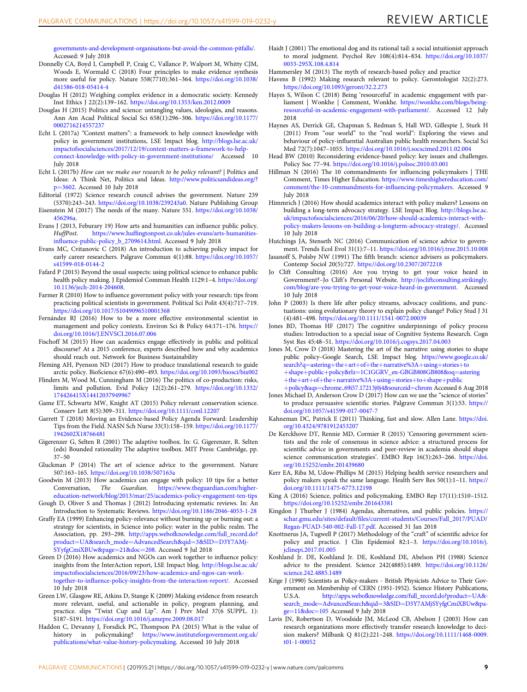<span id="page-8-0"></span>[governments-and-development-organisations-but-avoid-the-common-pitfalls/.](http://blogs.lse.ac.uk/impactofsocialsciences/2018/02/05/five-lessons-for-researchers-who-want-to-collaborate-with-governments-and-development-organisations-but-avoid-the-common-pitfalls/) Accessed: 9 July 2018

- Donnelly CA, Boyd I, Campbell P, Craig C, Vallance P, Walport M, Whitty CJM, Woods E, Wormald C (2018) Four principles to make evidence synthesis more useful for policy. Nature 558(7710):361–364. [https://doi.org/10.1038/](https://doi.org/10.1038/d41586-018-05414-4) [d41586-018-05414-4](https://doi.org/10.1038/d41586-018-05414-4)
- Douglas H (2012) Weighing complex evidence in a democratic society. Kennedy Inst Ethics J 22(2):139–162. <https://doi.org/10.1353/ken.2012.0009>
- Douglas H (2015) Politics and science: untangling values, ideologies, and reasons. Ann Am Acad Political Social Sci 658(1):296–306. [https://doi.org/10.1177/](https://doi.org/10.1177/0002716214557237) [0002716214557237](https://doi.org/10.1177/0002716214557237)
- Echt L (2017a) "Context matters": a framework to help connect knowledge with policy in government institutions, LSE Impact blog. [http://blogs.lse.ac.uk/](http://blogs.lse.ac.uk/impactofsocialsciences/2017/12/19/context-matters-a-framework-to-help-connect-knowledge-with-policy-in-government-institutions/) [impactofsocialsciences/2017/12/19/context-matters-a-framework-to-help](http://blogs.lse.ac.uk/impactofsocialsciences/2017/12/19/context-matters-a-framework-to-help-connect-knowledge-with-policy-in-government-institutions/)[connect-knowledge-with-policy-in-government-institutions/](http://blogs.lse.ac.uk/impactofsocialsciences/2017/12/19/context-matters-a-framework-to-help-connect-knowledge-with-policy-in-government-institutions/) Accessed 10 July 2018
- Echt L (2017b) How can we make our research to be policy relevant? | Politics and Ideas: A Think Net, Politics and Ideas. [http://www.politicsandideas.org/?](http://www.politicsandideas.org/?p=3602) p=[3602.](http://www.politicsandideas.org/?p=3602) Accessed 10 July 2018
- Editorial (1972) Science research council advises the government. Nature 239 (5370):243–243. <https://doi.org/10.1038/239243a0>. Nature Publishing Group
- Eisenstein M (2017) The needs of the many. Nature 551. [https://doi.org/10.1038/](https://doi.org/10.1038/456296a) [456296a](https://doi.org/10.1038/456296a).
- Evans J (2013, Feburary 19) How arts and humanities can influence public policy. HuffPost. https://www.huffi[ngtonpost.co.uk/jules-evans/arts-humanities](https://www.huffingtonpost.co.uk/jules-evans/arts-humanities-influence-public-policy_b_2709614.html)infl[uence-public-policy\\_b\\_2709614.html.](https://www.huffingtonpost.co.uk/jules-evans/arts-humanities-influence-public-policy_b_2709614.html) Accessed 9 July 2018
- Evans MC, Cvitanovic C (2018) An introduction to achieving policy impact for early career researchers. Palgrave Commun 4(1):88. [https://doi.org/10.1057/](https://doi.org/10.1057/s41599-018-0144-2) [s41599-018-0144-2](https://doi.org/10.1057/s41599-018-0144-2)
- Fafard P (2015) Beyond the usual suspects: using political science to enhance public health policy making. J Epidemiol Commun Health 1129:1–4. [https://doi.org/](https://doi.org/10.1136/jech-2014-204608) [10.1136/jech-2014-204608](https://doi.org/10.1136/jech-2014-204608).
- Farmer R (2010) How to influence government policy with your research: tips from practicing political scientists in government. Political Sci Polit 43(4):717–719. <https://doi.org/10.1017/S1049096510001368>
- Fernández RJ (2016) How to be a more effective environmental scientist in management and policy contexts. Environ Sci & Policy 64:171–176. [https://](https://doi.org/10.1016/J.ENVSCI.2016.07.006) [doi.org/10.1016/J.ENVSCI.2016.07.006](https://doi.org/10.1016/J.ENVSCI.2016.07.006)
- Fischoff M (2015) How can academics engage effectively in public and political discourse? At a 2015 conference, experts described how and why academics should reach out. Network for Business Sustainability
- Fleming AH, Pyenson ND (2017) How to produce translational research to guide arctic policy. BioScience 67(6):490–493. <https://doi.org/10.1093/biosci/bix002>
- Flinders M, Wood M, Cunningham M (2016) The politics of co-production: risks, limits and pollution. Evid Policy 12(2):261–279. [https://doi.org/10.1332/](https://doi.org/10.1332/174426415X14412037949967) [174426415X14412037949967](https://doi.org/10.1332/174426415X14412037949967)
- Game ET, Schwartz MW, Knight AT (2015) Policy relevant conservation science. Conserv Lett 8(5):309–311. <https://doi.org/10.1111/conl.12207>
- Garrett T (2018) Moving an Evidence-based Policy Agenda Forward: Leadership Tips from the Field. NASN Sch Nurse 33(3):158–159. [https://doi.org/10.1177/](https://doi.org/10.1177/1942602X18766481) [1942602X18766481](https://doi.org/10.1177/1942602X18766481)
- Gigerenzer G, Selten R (2001) The adaptive toolbox. In: G. Gigerenzer, R. Selten (eds) Bounded rationality The adaptive toolbox. MIT Press: Cambridge, pp. 37–50
- Gluckman P (2014) The art of science advice to the government. Nature 507:163–165. <https://doi.org/10.1038/507163a>
- Goodwin M (2013) How academics can engage with policy: 10 tips for a better Conversation, The Guardian. [https://www.theguardian.com/higher](https://www.theguardian.com/higher-education-network/blog/2013/mar/25/academics-policy-engagement-ten-tips)[education-network/blog/2013/mar/25/academics-policy-engagement-ten-tips](https://www.theguardian.com/higher-education-network/blog/2013/mar/25/academics-policy-engagement-ten-tips)
- Gough D, Oliver S and Thomas J (2012) Introducing systematic reviews. In: An Introduction to Systematic Reviews. <https://doi.org/10.1186/2046-4053-1-28>
- Graffy EA (1999) Enhancing policy-relevance without burning up or burning out: a strategy for scientists, in Science into policy: water in the public realm. The Association, pp. 293–298. [http://apps.webofknowledge.com/full\\_record.do?](http://apps.webofknowledge.com/full_record.do?product=UA&search_mode=AdvancedSearch&qid=3&SID=D3Y7AMjSYyfgCmiXBUw&page=21&doc=208) product=UA&search\_mode=[AdvancedSearch&qid](http://apps.webofknowledge.com/full_record.do?product=UA&search_mode=AdvancedSearch&qid=3&SID=D3Y7AMjSYyfgCmiXBUw&page=21&doc=208)=3&SID=D3Y7AMj-[SYyfgCmiXBUw&page](http://apps.webofknowledge.com/full_record.do?product=UA&search_mode=AdvancedSearch&qid=3&SID=D3Y7AMjSYyfgCmiXBUw&page=21&doc=208)=21&doc=208. Accessed 9 Jul 2018
- Green D (2016) How academics and NGOs can work together to influence policy: insights from the InterAction report, LSE Impact blog. [http://blogs.lse.ac.uk/](http://blogs.lse.ac.uk/impactofsocialsciences/2016/09/23/how-academics-and-ngos-can-work-together-to-influence-policy-insights-from-the-interaction-report/) [impactofsocialsciences/2016/09/23/how-academics-and-ngos-can-work](http://blogs.lse.ac.uk/impactofsocialsciences/2016/09/23/how-academics-and-ngos-can-work-together-to-influence-policy-insights-from-the-interaction-report/)together-to-infl[uence-policy-insights-from-the-interaction-report/](http://blogs.lse.ac.uk/impactofsocialsciences/2016/09/23/how-academics-and-ngos-can-work-together-to-influence-policy-insights-from-the-interaction-report/). Accessed 10 July 2018
- Green LW, Glasgow RE, Atkins D, Stange K (2009) Making evidence from research more relevant, useful, and actionable in policy, program planning, and practice. slips "Twixt Cup and Lip". Am J Prev Med 37(6 SUPPL. 1): S187–S191. <https://doi.org/10.1016/j.amepre.2009.08.017>
- Haddon C, Devanny J, Forsdick PC, Thompson PA (2015) What is the value of history in policymaking? [https://www.instituteforgovernment.org.uk/](https://www.instituteforgovernment.org.uk/publications/what-value-history-policymaking) [publications/what-value-history-policymaking.](https://www.instituteforgovernment.org.uk/publications/what-value-history-policymaking) Accessed 10 July 2018
- Haidt J (2001) The emotional dog and its rational tail: a social intuitionist approach to moral judgment. Psychol Rev 108(4):814–834. [https://doi.org/10.1037/](https://doi.org/10.1037/0033-295X.108.4.814) [0033-295X.108.4.814](https://doi.org/10.1037/0033-295X.108.4.814)
- Hammersley M (2013) The myth of research-based policy and practice
- Havens B (1992) Making research relevant to policy. Gerontologist 32(2):273. <https://doi.org/10.1093/geront/32.2.273>
- Hayes S, Wilson C (2018) Being 'resourceful' in academic engagement with parliament | Wonkhe | Comment, Wonkhe. [https://wonkhe.com/blogs/being](https://wonkhe.com/blogs/being-resourceful-in-academic-engagement-with-parliament/)[resourceful-in-academic-engagement-with-parliament/.](https://wonkhe.com/blogs/being-resourceful-in-academic-engagement-with-parliament/) Accessed 12 July 2018
- Haynes AS, Derrick GE, Chapman S, Redman S, Hall WD, Gillespie J, Sturk H (2011) From "our world" to the "real world": Exploring the views and behaviour of policy-influential Australian public health researchers. Social Sci Med 72(7):1047–1055. <https://doi.org/10.1016/j.socscimed.2011.02.004>
- Head BW (2010) Reconsidering evidence-based policy: key issues and challenges. Policy Soc 77–94. <https://doi.org/10.1016/j.polsoc.2010.03.001>
- Hillman N (2016) The 10 commandments for influencing policymakers | THE Comment, Times Higher Education. [https://www.timeshighereducation.com/](https://www.timeshighereducation.com/comment/the-10-commandments-for-influencing-policymakers) [comment/the-10-commandments-for-in](https://www.timeshighereducation.com/comment/the-10-commandments-for-influencing-policymakers)fluencing-policymakers. Accessed 9 July 2018
- Himmrich J (2016) How should academics interact with policy makers? Lessons on building a long-term advocacy strategy. LSE Impact Blog. [http://blogs.lse.ac.](http://blogs.lse.ac.uk/impactofsocialsciences/2016/06/20/how-should-academics-interact-with-policy-makers-lessons-on-building-a-longterm-advocacy-strategy/) [uk/impactofsocialsciences/2016/06/20/how-should-academics-interact-with](http://blogs.lse.ac.uk/impactofsocialsciences/2016/06/20/how-should-academics-interact-with-policy-makers-lessons-on-building-a-longterm-advocacy-strategy/)[policy-makers-lessons-on-building-a-longterm-advocacy-strategy/](http://blogs.lse.ac.uk/impactofsocialsciences/2016/06/20/how-should-academics-interact-with-policy-makers-lessons-on-building-a-longterm-advocacy-strategy/). Accessed 10 July 2018
- Hutchings JA, Stenseth NC (2016) Communication of science advice to government. Trends Ecol Evol 31(1):7–11. <https://doi.org/10.1016/j.tree.2015.10.008>
- Jasanoff S, Polsby NW (1991) The fifth branch: science advisers as policymakers. Contemp Sociol 20(5):727. <https://doi.org/10.2307/2072218>
- Jo Clift Consulting (2016) Are you trying to get your voice heard in Government?–Jo Clift's Personal Website. [http://jocliftconsulting.strikingly.](http://jocliftconsulting.strikingly.com/blog/are-you-trying-to-get-your-voice-heard-in-government) [com/blog/are-you-trying-to-get-your-voice-heard-in-government.](http://jocliftconsulting.strikingly.com/blog/are-you-trying-to-get-your-voice-heard-in-government) Accessed 10 July 2018
- John P (2003) Is there life after policy streams, advocacy coalitions, and punctuations: using evolutionary theory to explain policy change? Policy Stud J 31 (4):481–498. <https://doi.org/10.1111/1541-0072.00039>
- Jones BD, Thomas HF (2017) The cognitive underpinnings of policy process studies: Introduction to a special issue of Cognitive Systems Research. Cogn Syst Res 45:48–51. <https://doi.org/10.1016/j.cogsys.2017.04.003>
- Jones M, Crow D (2018) Mastering the art of the narrative: using stories to shape public policy–Google Search, LSE Impact blog. [https://www.google.co.uk/](https://www.google.co.uk/search?q=astering+the+art+of+the+narrative%3A+using+stories+to+shape+public+policy&rlz=1C1GGRV_en-GBGB808GB808&oq=astering+the+art+of+the+narrative%3A+using+stories+to+shape+public+policy&aqs=chrome..69i57.17213j0j4&sourceid=chrom) search?q=astering+the+art+of+the+[narrative%3A](https://www.google.co.uk/search?q=astering+the+art+of+the+narrative%3A+using+stories+to+shape+public+policy&rlz=1C1GGRV_en-GBGB808GB808&oq=astering+the+art+of+the+narrative%3A+using+stories+to+shape+public+policy&aqs=chrome..69i57.17213j0j4&sourceid=chrom)+using+stories+to +shape+public+policy&rlz=[1C1GGRV\\_en-GBGB808GB808&oq](https://www.google.co.uk/search?q=astering+the+art+of+the+narrative%3A+using+stories+to+shape+public+policy&rlz=1C1GGRV_en-GBGB808GB808&oq=astering+the+art+of+the+narrative%3A+using+stories+to+shape+public+policy&aqs=chrome..69i57.17213j0j4&sourceid=chrom)=astering +the+art+of+the+[narrative%3A](https://www.google.co.uk/search?q=astering+the+art+of+the+narrative%3A+using+stories+to+shape+public+policy&rlz=1C1GGRV_en-GBGB808GB808&oq=astering+the+art+of+the+narrative%3A+using+stories+to+shape+public+policy&aqs=chrome..69i57.17213j0j4&sourceid=chrom)+using+stories+to+shape+public +policy&aqs=[chrome..69i57.17213j0j4&sourceid](https://www.google.co.uk/search?q=astering+the+art+of+the+narrative%3A+using+stories+to+shape+public+policy&rlz=1C1GGRV_en-GBGB808GB808&oq=astering+the+art+of+the+narrative%3A+using+stories+to+shape+public+policy&aqs=chrome..69i57.17213j0j4&sourceid=chrom)=chrom Accessed 6 Aug 2018
- Jones Michael D, Anderson Crow D (2017) How can we use the "science of stories" to produce persuasive scientific stories. Palgrave Commun 3(1):53. [https://](https://doi.org/10.1057/s41599-017-0047-7) [doi.org/10.1057/s41599-017-0047-7](https://doi.org/10.1057/s41599-017-0047-7)
- Kahneman DC, Patrick E (2011) Thinking, fast and slow. Allen Lane. [https://doi.](https://doi.org/10.4324/9781912453207) [org/10.4324/9781912453207](https://doi.org/10.4324/9781912453207)
- De Kerckhove DT, Rennie MD, Cormier R (2015) 'Censoring government scientists and the role of consensus in science advice: a structured process for scientific advice in governments and peer-review in academia should shape science communication strategies'. EMBO Rep 16(3):263–266. [https://doi.](https://doi.org/10.15252/embr.201439680) [org/10.15252/embr.201439680](https://doi.org/10.15252/embr.201439680)
- Kerr EA, Riba M, Udow-Phillips M (2015) Helping health service researchers and policy makers speak the same language. Health Serv Res 50(1):1-11. [https://](https://doi.org/10.1111/1475-6773.12198) [doi.org/10.1111/1475-6773.12198](https://doi.org/10.1111/1475-6773.12198)
- King A (2016) Science, politics and policymaking. EMBO Rep 17(11):1510–1512. <https://doi.org/10.15252/embr.201643381>
- Kingdon J Thurber J (1984) Agendas, alternatives, and public policies. [https://](https://schar.gmu.edu/sites/default/files/current-students/Courses/Fall_2017/PUAD/Regan-PUAD-540-002-Fall-17.pdf) schar.gmu.edu/sites/default/fi[les/current-students/Courses/Fall\\_2017/PUAD/](https://schar.gmu.edu/sites/default/files/current-students/Courses/Fall_2017/PUAD/Regan-PUAD-540-002-Fall-17.pdf) [Regan-PUAD-540-002-Fall-17.pdf.](https://schar.gmu.edu/sites/default/files/current-students/Courses/Fall_2017/PUAD/Regan-PUAD-540-002-Fall-17.pdf) Accessed 31 Jan 2018
- Knottnerus JA, Tugwell P (2017) Methodology of the "craft" of scientific advice for policy and practice. J Clin Epidemiol 82:1–3. [https://doi.org/10.1016/j.](https://doi.org/10.1016/j.jclinepi.2017.01.005) [jclinepi.2017.01.005](https://doi.org/10.1016/j.jclinepi.2017.01.005)
- Koshland Jr. DE, Koshland Jr. DE, Koshland DE, Abelson PH (1988) Science advice to the president. Science 242(4885):1489. [https://doi.org/10.1126/](https://doi.org/10.1126/science.242.4885.1489) [science.242.4885.1489](https://doi.org/10.1126/science.242.4885.1489)
- Krige J (1990) Scientists as Policy-makers British Physicists Advice to Their Government on Membership of CERN (1951-1952). Science History Publications, U.S.A. [http://apps.webofknowledge.com/full\\_record.do?product](http://apps.webofknowledge.com/full_record.do?product=UA&-search_mode=AdvancedSearch&qid=3&SID=D3Y7AMjSYyfgCmiXBUw&page=11&doc=105)=UA& search\_mode=AdvancedSearch&qid=3&SID=[D3Y7AMjSYyfgCmiXBUw&pa](http://apps.webofknowledge.com/full_record.do?product=UA&-search_mode=AdvancedSearch&qid=3&SID=D3Y7AMjSYyfgCmiXBUw&page=11&doc=105) $ge=11$ &doc $=105$  Accessed 9 July 2018
- Lavis JN, Robertson D, Woodside JM, McLeod CB, Abelson J (2003) How can research organizations more effectively transfer research knowledge to decision makers? Milbank Q 81(2):221–248. [https://doi.org/10.1111/1468-0009.](https://doi.org/10.1111/1468-0009.t01-1-00052) [t01-1-00052](https://doi.org/10.1111/1468-0009.t01-1-00052)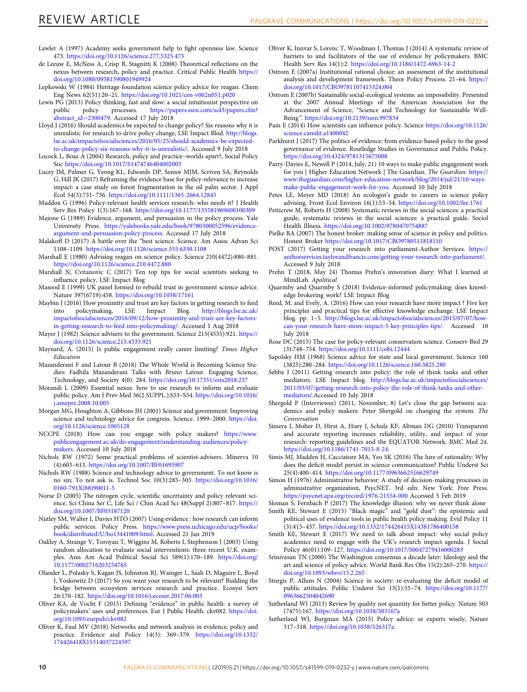- <span id="page-9-0"></span>Lawler A (1997) Academy seeks government help to fight openness law. Science 473. <https://doi.org/10.1126/science.277.5325.473>
- de Leeuw E, McNess A, Crisp B, Stagnitti K (2008) Theoretical reflections on the nexus between research, policy and practice. Critical Public Health [https://](https://doi.org/10.1080/09581590801949924) [doi.org/10.1080/09581590801949924](https://doi.org/10.1080/09581590801949924)
- Lepkowski W (1984) Heritage-foundation science policy advice for reagan. Chem Eng News 62(51):20–21. <https://doi.org/10.1021/cen-v062n051.p020>
- Lewis PG (2013) Policy thinking, fast and slow: a social intuitionist perspective on public policy processes. https://papers.ssrn.com/sol3/papers.cfm? [https://papers.ssrn.com/sol3/papers.cfm?](https://papers.ssrn.com/sol3/papers.cfm?abstract_id=2300479) [abstract\\_id](https://papers.ssrn.com/sol3/papers.cfm?abstract_id=2300479)=2300479. Accessed 17 July 2018
- Lloyd J (2016) Should academics be expected to change policy? Six reasons why it is unrealistic for research to drive policy change, LSE Impact Blod. [http://blogs.](http://blogs.lse.ac.uk/impactofsocialsciences/2016/05/25/should-academics-be-expected-to-change-policy-six-reasons-why-it-is-unrealistic/) [lse.ac.uk/impactofsocialsciences/2016/05/25/should-academics-be-expected](http://blogs.lse.ac.uk/impactofsocialsciences/2016/05/25/should-academics-be-expected-to-change-policy-six-reasons-why-it-is-unrealistic/)[to-change-policy-six-reasons-why-it-is-unrealistic/.](http://blogs.lse.ac.uk/impactofsocialsciences/2016/05/25/should-academics-be-expected-to-change-policy-six-reasons-why-it-is-unrealistic/) Accessed 9 July 2018
- Locock L, Boaz A (2004) Research, policy and practice–worlds apart?, Social Policy Soc <https://doi.org/10.1017/S1474746404002003>
- Lucey JM, Palmer G, Yeong KL, Edwards DP, Senior MJM, Scriven SA, Reynolds G, Hill JK (2017) Reframing the evidence base for policy-relevance to increase impact: a case study on forest fragmentation in the oil palm sector. J Appl Ecol 54(3):731–736. <https://doi.org/10.1111/1365-2664.12845>
- Maddox G (1996) Policy-relevant health services research: who needs it? J Health Serv Res Policy 1(3):167–168. <https://doi.org/10.1177/135581969600100309>
- Majone G (1989) Evidence, argument, and persuasion in the policy process. Yale University Press. [https://yalebooks.yale.edu/book/9780300052596/evidence](https://yalebooks.yale.edu/book/9780300052596/evidence-argument-and-persuasion-policy-process)[argument-and-persuasion-policy-process](https://yalebooks.yale.edu/book/9780300052596/evidence-argument-and-persuasion-policy-process). Accessed 17 July 2018
- Malakoff D (2017) A battle over the "best science. Science. Am Assoc Advan Sci 1108–1109. <https://doi.org/10.1126/science.355.6330.1108>
- Marshall E (1980) Advising reagan on science policy. Science 210(4472):880–881. <https://doi.org/10.1126/science.210.4472.880>
- Marshall N, Cvitanovic C (2017) Ten top tips for social scientists seeking to influence policy, LSE Impact Blog
- Masood E (1999) UK panel formed to rebuild trust in government science advice. Nature 397(6719):458. <https://doi.org/10.1038/17161>
- Maybin J (2016) How proximity and trust are key factors in getting research to feed<br>into policymaking, LSE Impact Blog. http://blogs.lse.ac.uk/ into policymaking, LSE Impact Blog. [http://blogs.lse.ac.uk/](http://blogs.lse.ac.uk/impactofsocialsciences/2016/09/12/how-proximity-and-trust-are-key-factors-in-getting-research-to-feed-into-policymaking/) [impactofsocialsciences/2016/09/12/how-proximity-and-trust-are-key-factors](http://blogs.lse.ac.uk/impactofsocialsciences/2016/09/12/how-proximity-and-trust-are-key-factors-in-getting-research-to-feed-into-policymaking/)[in-getting-research-to-feed-into-policymaking/.](http://blogs.lse.ac.uk/impactofsocialsciences/2016/09/12/how-proximity-and-trust-are-key-factors-in-getting-research-to-feed-into-policymaking/) Accessed 1 Aug 2018
- Mayer J (1982) Science advisers to the government. Science 215(4535):921. [https://](https://doi.org/10.1126/science.215.4535.921) [doi.org/10.1126/science.215.4535.921](https://doi.org/10.1126/science.215.4535.921)
- Maynard, A. (2015) Is public engagement really career limiting? Times Higher Education
- Mazanderani F and Latour B (2018) The Whole World is Becoming Science Studies: Fadhila Mazanderani Talks with Bruno Latour. Engaging Science, Technology, and Society 4(0): 284. <https://doi.org/10.17351/ests2018.237>
- Morandi L (2009) Essential nexus. how to use research to inform and evaluate public policy. Am J Prev Med 36(2 SUPPL.):S53–S54. [https://doi.org/10.1016/](https://doi.org/10.1016/j.amepre.2008.10.005) [j.amepre.2008.10.005](https://doi.org/10.1016/j.amepre.2008.10.005)
- Morgan MG, Houghton A, Gibbons JH (2001) Science and government: Improving science and technology advice for congress. Science. 1999–2000. [https://doi.](https://doi.org/10.1126/science.1065128) [org/10.1126/science.1065128](https://doi.org/10.1126/science.1065128)
- NCCPE (2018) How can you engage with policy makers? [https://www.](https://www.publicengagement.ac.uk/do-engagement/understanding-audiences/policy-makers) [publicengagement.ac.uk/do-engagement/understanding-audiences/policy](https://www.publicengagement.ac.uk/do-engagement/understanding-audiences/policy-makers)[makers](https://www.publicengagement.ac.uk/do-engagement/understanding-audiences/policy-makers). Accessed 10 July 2018
- Nichols RW (1972) Some practical problems of scientist-advisers. Minerva 10 (4):603–613. <https://doi.org/10.1007/BF01695907>
- Nichols RW (1988) Science and technology advice to government. To not know is no sin; To not ask is. Technol Soc 10(3):285–303. [https://doi.org/10.1016/](https://doi.org/10.1016/0160-791X(88)90011-5) [0160-791X\(88\)90011-5](https://doi.org/10.1016/0160-791X(88)90011-5)
- Norse D (2005) The nitrogen cycle, scientific uncertainty and policy relevant science. Sci China Ser C, Life Sci / Chin Acad Sci 48(Suppl 2):807–817. [https://](https://doi.org/10.1007/BF03187120) [doi.org/10.1007/BF03187120](https://doi.org/10.1007/BF03187120)
- Nutley SM, Walter I, Davies HTO (2007) Using evidence : how research can inform public services. Policy Press. [https://www.press.uchicago.edu/ucp/books/](https://www.press.uchicago.edu/ucp/books/book/distributed/U/bo13441009.html) [book/distributed/U/bo13441009.html.](https://www.press.uchicago.edu/ucp/books/book/distributed/U/bo13441009.html) Accessed 21 Jan 2019
- Oakley A, Strange V, Toroyan T, Wiggins M, Roberts I, Stephenson J (2003) Using random allocation to evaluate social interventions: three recent U.K. examples. Ann Am Acad Political Social Sci 589(1):170–189. [https://doi.org/](https://doi.org/10.1177/0002716203254765) [10.1177/0002716203254765](https://doi.org/10.1177/0002716203254765)
- Olander L, Polasky S, Kagan JS, Johnston RJ, Wainger L, Saah D, Maguire L, Boyd J, Yoskowitz D (2017) So you want your research to be relevant? Building the bridge between ecosystem services research and practice. Ecosyst Serv 26:170–182. <https://doi.org/10.1016/j.ecoser.2017.06.003>
- Oliver KA, de Vocht F (2015) Defining "evidence" in public health: a survey of policymakers' uses and preferences. Eur J Public Health. ckv082. [https://doi.](https://doi.org/10.1093/eurpub/ckv082) [org/10.1093/eurpub/ckv082](https://doi.org/10.1093/eurpub/ckv082)
- Oliver K, Faul MV (2018) Networks and network analysis in evidence, policy and practice. Evidence and Policy 14(3): 369–379. [https://doi.org/10.1332/](https://doi.org/10.1332/174426418X15314037224597) [174426418X15314037224597](https://doi.org/10.1332/174426418X15314037224597)
- Oliver K, Innvar S, Lorenc T, Woodman J, Thomas J (2014) A systematic review of barriers to and facilitators of the use of evidence by policymakers. BMC Health Serv Res 14(1):2. <https://doi.org/10.1186/1472-6963-14-2>
- Ostrom E (2007a) Institutional rational choice: an assessment of the institutional analysis and development framework. Theor Policy Process. 21–64. [https://](https://doi.org/10.1017/CBO9781107415324.004) [doi.org/10.1017/CBO9781107415324.004](https://doi.org/10.1017/CBO9781107415324.004)
- Ostrom E (2007b) Sustainable social-ecological systems: an impossibility. Presented at the 2007 Annual Meetings of the American Association for the Advancement of Science, "Science and Technology for Sustainable Well-Being". <https://doi.org/10.2139/ssrn.997834>
- Pain E (2014) How scientists can influence policy. Science [https://doi.org/10.1126/](https://doi.org/10.1126/science.caredit.a1400042) [science.caredit.a1400042](https://doi.org/10.1126/science.caredit.a1400042)
- Parkhurst J (2017) The politics of evidence: from evidence-based policy to the good governance of evidence. Routledge Studies in Governance and Public Policy. <https://doi.org/10.4324/9781315675008>
- Parry-Davies E, Newell P (2014, July, 21) 10 ways to make public engagement work for you | Higher Education Network | The Guardian. The Guardian. [https://](https://www.theguardian.com/higher-education-network/blog/2014/jul/21/10-ways-make-public-engagement-work-for-you) [www.theguardian.com/higher-education-network/blog/2014/jul/21/10-ways](https://www.theguardian.com/higher-education-network/blog/2014/jul/21/10-ways-make-public-engagement-work-for-you)[make-public-engagement-work-for-you](https://www.theguardian.com/higher-education-network/blog/2014/jul/21/10-ways-make-public-engagement-work-for-you). Accessed 10 July 2018
- Petes LE, Meyer MD (2018) An ecologist's guide to careers in science policy advising. Front Ecol Environ 16(1):53–54. <https://doi.org/10.1002/fee.1761>
- Petticrew M, Roberts H (2008) Systematic reviews in the social sciences: a practical guide, systematic reviews in the social sciences: a practical guide. Sociol Health Illness. <https://doi.org/10.1002/9780470754887>
- Pielke RA (2007) The honest broker: making sense of science in policy and politics. Honest Broker <https://doi.org/10.1017/CBO9780511818110>
- POST (2017) Getting your research into parliament-Author Services. [https://](https://authorservices.taylorandfrancis.com/getting-your-research-into-parliament/) [authorservices.taylorandfrancis.com/getting-your-research-into-parliament/](https://authorservices.taylorandfrancis.com/getting-your-research-into-parliament/). Accessed 9 July 2018
- Prehn T (2018, May 24) Thomas Prehn's innovation diary: What I learned at MindLab. Apolitical
- Quarmby and Quarmby S (2018) Evidence-informed policymaking: does knowledge brokering work? LSE Impact Blog
- Reed, M. and Evely, A. (2016) How can your research have more impact ? Five key principles and practical tips for effective knowledge exchange. LSE Impact blog. pp. 1–5. [http://blogs.lse.ac.uk/impactofsocialsciences/2015/07/07/how](http://blogs.lse.ac.uk/impactofsocialsciences/2015/07/07/how-can-your-research-have-more-impact-5-key-principles-tips/)[can-your-research-have-more-impact-5-key-principles-tips/.](http://blogs.lse.ac.uk/impactofsocialsciences/2015/07/07/how-can-your-research-have-more-impact-5-key-principles-tips/) Accessed 10 July 2018
- Rose DC (2015) The case for policy-relevant conservation science. Conserv Biol 29 (3):748–754. <https://doi.org/10.1111/cobi.12444>
- Sapolsky HM (1968) Science advice for state and local government. Science 160 (3825):280–284. <https://doi.org/10.1126/science.160.3825.280>
- Sebba J (2011) Getting research into policy: the role of think tanks and other mediators. LSE Impact blog. [http://blogs.lse.ac.uk/impactofsocialsciences/](http://blogs.lse.ac.uk/impactofsocialsciences/2011/03/07/getting-research-into-policy-the-role-of-think-tanks-and-other-mediators/) [2011/03/07/getting-research-into-policy-the-role-of-think-tanks-and-other](http://blogs.lse.ac.uk/impactofsocialsciences/2011/03/07/getting-research-into-policy-the-role-of-think-tanks-and-other-mediators/)[mediators/.](http://blogs.lse.ac.uk/impactofsocialsciences/2011/03/07/getting-research-into-policy-the-role-of-think-tanks-and-other-mediators/)Accessed 10 July 2018
- Shergold P (Interviewee) (2011, November, 8) Let's close the gap between academics and policy makers: Peter Shergold on changing the system. The Conversation
- Simera I, Moher D, Hirst A, Hoey J, Schulz KF, Altman DG (2010) Transparent and accurate reporting increases reliability, utility, and impact of your research: reporting guidelines and the EQUATOR Network. BMC Med 24. [https://doi.org/10.1186/1741-7015-8-24.](https://doi.org/10.1186/1741-7015-8-24)
- Simis MJ, Madden H, Cacciatore MA, Yeo SK (2016) The lure of rationality: Why does the deficit model persist in science communication? Public Underst Sci 25(4):400–414. <https://doi.org/10.1177/0963662516629749>
- Simon H (1976) Administrative behavior: A study of decision-making processes in administrative organization, PsycNET. 3rd edn. New York: Free Press. <https://psycnet.apa.org/record/1976-21554-000> Accessed 5 Feb 2019

Sloman S, Fernbach P (2017) The knowledge illusion: why we never think alone

- Smith KE, Stewart E (2015) "Black magic" and "gold dust": the epistemic and political uses of evidence tools in public health policy making. Evid Policy 11 (3):415–437. <https://doi.org/10.1332/174426415X14381786400158>
- Smith KE, Stewart E (2017) We need to talk about impact: why social policy academics need to engage with the UK's research impact agenda. J Social Policy 46(01):109–127. <https://doi.org/10.1017/S0047279416000283>
- Srinivasan TN (2000) The Washington consensus a decade later: Ideology and the art and science of policy advice. World Bank Res Obs 15(2):265–270. [https://](https://doi.org/10.1093/wbro/15.2.265) [doi.org/10.1093/wbro/15.2.265](https://doi.org/10.1093/wbro/15.2.265)
- Sturgis P, Allum N (2004) Science in society: re-evaluating the deficit model of public attitudes. Public Underst Sci 13(1):55–74. [https://doi.org/10.1177/](https://doi.org/10.1177/0963662504042690) [0963662504042690](https://doi.org/10.1177/0963662504042690)
- Sutherland WJ (2013) Review by quality not quantity for better policy. Nature 503 (7475):167. <https://doi.org/10.1038/503167a>
- Sutherland WJ, Burgman MA (2015) Policy advice: se experts wisely, Nature 317–318. <https://doi.org/10.1038/526317a>.